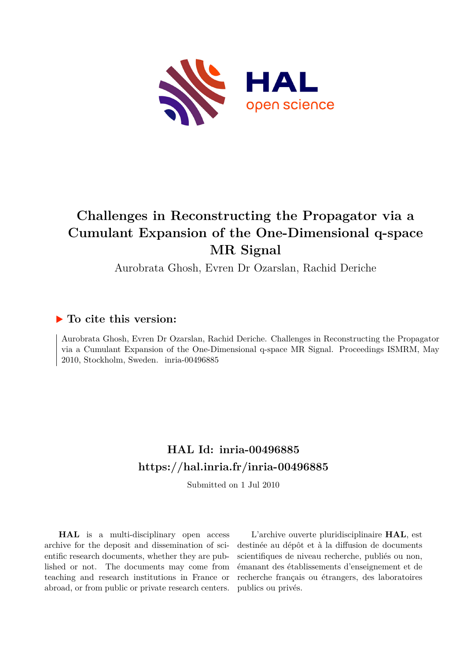

# **Challenges in Reconstructing the Propagator via a Cumulant Expansion of the One-Dimensional q-space MR Signal**

Aurobrata Ghosh, Evren Dr Ozarslan, Rachid Deriche

### **To cite this version:**

Aurobrata Ghosh, Evren Dr Ozarslan, Rachid Deriche. Challenges in Reconstructing the Propagator via a Cumulant Expansion of the One-Dimensional q-space MR Signal. Proceedings ISMRM, May  $2010$ , Stockholm, Sweden. inria-00496885

## **HAL Id: inria-00496885 <https://hal.inria.fr/inria-00496885>**

Submitted on 1 Jul 2010

**HAL** is a multi-disciplinary open access archive for the deposit and dissemination of scientific research documents, whether they are published or not. The documents may come from teaching and research institutions in France or abroad, or from public or private research centers.

L'archive ouverte pluridisciplinaire **HAL**, est destinée au dépôt et à la diffusion de documents scientifiques de niveau recherche, publiés ou non, émanant des établissements d'enseignement et de recherche français ou étrangers, des laboratoires publics ou privés.